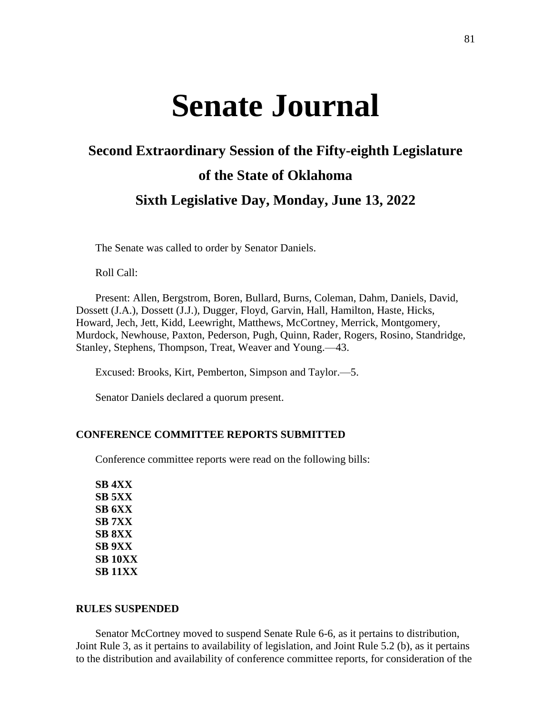# **Senate Journal**

# **Second Extraordinary Session of the Fifty-eighth Legislature of the State of Oklahoma Sixth Legislative Day, Monday, June 13, 2022**

The Senate was called to order by Senator Daniels.

Roll Call:

Present: Allen, Bergstrom, Boren, Bullard, Burns, Coleman, Dahm, Daniels, David, Dossett (J.A.), Dossett (J.J.), Dugger, Floyd, Garvin, Hall, Hamilton, Haste, Hicks, Howard, Jech, Jett, Kidd, Leewright, Matthews, McCortney, Merrick, Montgomery, Murdock, Newhouse, Paxton, Pederson, Pugh, Quinn, Rader, Rogers, Rosino, Standridge, Stanley, Stephens, Thompson, Treat, Weaver and Young.—43.

Excused: Brooks, Kirt, Pemberton, Simpson and Taylor.—5.

Senator Daniels declared a quorum present.

### **CONFERENCE COMMITTEE REPORTS SUBMITTED**

Conference committee reports were read on the following bills:

**SB 4XX SB 5XX SB 6XX SB 7XX SB 8XX SB 9XX SB 10XX SB 11XX**

### **RULES SUSPENDED**

Senator McCortney moved to suspend Senate Rule 6-6, as it pertains to distribution, Joint Rule 3, as it pertains to availability of legislation, and Joint Rule 5.2 (b), as it pertains to the distribution and availability of conference committee reports, for consideration of the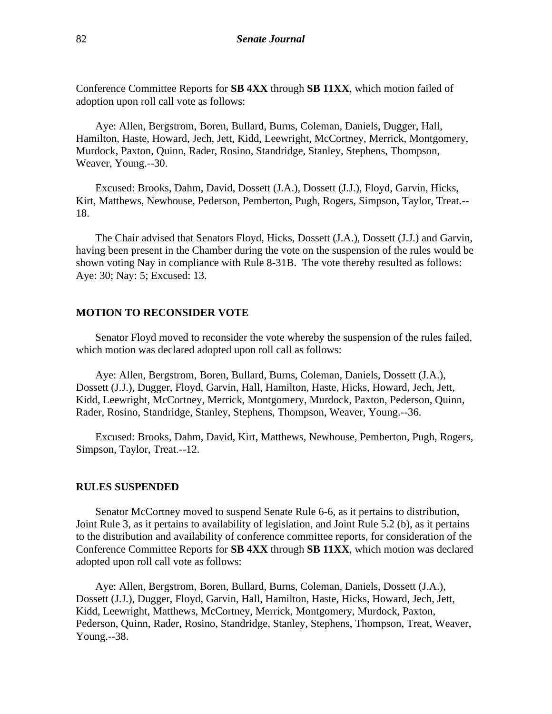Conference Committee Reports for **SB 4XX** through **SB 11XX**, which motion failed of adoption upon roll call vote as follows:

Aye: Allen, Bergstrom, Boren, Bullard, Burns, Coleman, Daniels, Dugger, Hall, Hamilton, Haste, Howard, Jech, Jett, Kidd, Leewright, McCortney, Merrick, Montgomery, Murdock, Paxton, Quinn, Rader, Rosino, Standridge, Stanley, Stephens, Thompson, Weaver, Young.--30.

Excused: Brooks, Dahm, David, Dossett (J.A.), Dossett (J.J.), Floyd, Garvin, Hicks, Kirt, Matthews, Newhouse, Pederson, Pemberton, Pugh, Rogers, Simpson, Taylor, Treat.-- 18.

The Chair advised that Senators Floyd, Hicks, Dossett (J.A.), Dossett (J.J.) and Garvin, having been present in the Chamber during the vote on the suspension of the rules would be shown voting Nay in compliance with Rule 8-31B. The vote thereby resulted as follows: Aye: 30; Nay: 5; Excused: 13.

### **MOTION TO RECONSIDER VOTE**

Senator Floyd moved to reconsider the vote whereby the suspension of the rules failed, which motion was declared adopted upon roll call as follows:

Aye: Allen, Bergstrom, Boren, Bullard, Burns, Coleman, Daniels, Dossett (J.A.), Dossett (J.J.), Dugger, Floyd, Garvin, Hall, Hamilton, Haste, Hicks, Howard, Jech, Jett, Kidd, Leewright, McCortney, Merrick, Montgomery, Murdock, Paxton, Pederson, Quinn, Rader, Rosino, Standridge, Stanley, Stephens, Thompson, Weaver, Young.--36.

Excused: Brooks, Dahm, David, Kirt, Matthews, Newhouse, Pemberton, Pugh, Rogers, Simpson, Taylor, Treat.--12.

#### **RULES SUSPENDED**

Senator McCortney moved to suspend Senate Rule 6-6, as it pertains to distribution, Joint Rule 3, as it pertains to availability of legislation, and Joint Rule 5.2 (b), as it pertains to the distribution and availability of conference committee reports, for consideration of the Conference Committee Reports for **SB 4XX** through **SB 11XX**, which motion was declared adopted upon roll call vote as follows:

Aye: Allen, Bergstrom, Boren, Bullard, Burns, Coleman, Daniels, Dossett (J.A.), Dossett (J.J.), Dugger, Floyd, Garvin, Hall, Hamilton, Haste, Hicks, Howard, Jech, Jett, Kidd, Leewright, Matthews, McCortney, Merrick, Montgomery, Murdock, Paxton, Pederson, Quinn, Rader, Rosino, Standridge, Stanley, Stephens, Thompson, Treat, Weaver, Young.--38.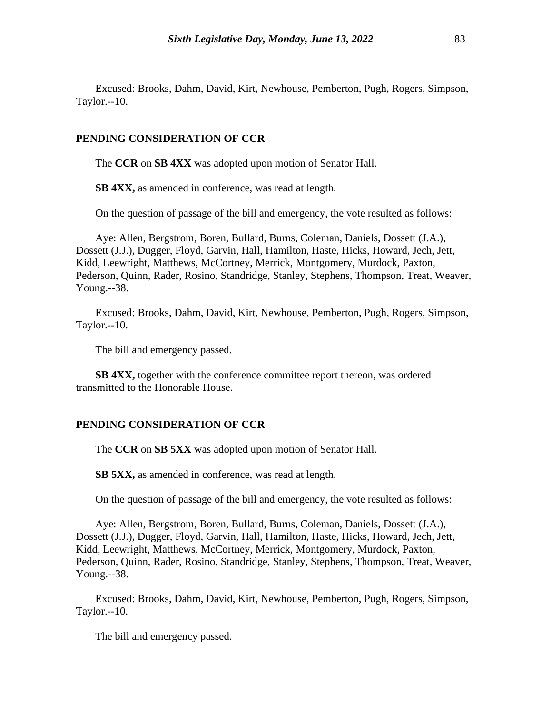Excused: Brooks, Dahm, David, Kirt, Newhouse, Pemberton, Pugh, Rogers, Simpson, Taylor.--10.

#### **PENDING CONSIDERATION OF CCR**

The **CCR** on **SB 4XX** was adopted upon motion of Senator Hall.

**SB 4XX,** as amended in conference, was read at length.

On the question of passage of the bill and emergency, the vote resulted as follows:

Aye: Allen, Bergstrom, Boren, Bullard, Burns, Coleman, Daniels, Dossett (J.A.), Dossett (J.J.), Dugger, Floyd, Garvin, Hall, Hamilton, Haste, Hicks, Howard, Jech, Jett, Kidd, Leewright, Matthews, McCortney, Merrick, Montgomery, Murdock, Paxton, Pederson, Quinn, Rader, Rosino, Standridge, Stanley, Stephens, Thompson, Treat, Weaver, Young.--38.

Excused: Brooks, Dahm, David, Kirt, Newhouse, Pemberton, Pugh, Rogers, Simpson, Taylor.--10.

The bill and emergency passed.

**SB 4XX,** together with the conference committee report thereon, was ordered transmitted to the Honorable House.

#### **PENDING CONSIDERATION OF CCR**

The **CCR** on **SB 5XX** was adopted upon motion of Senator Hall.

**SB 5XX,** as amended in conference, was read at length.

On the question of passage of the bill and emergency, the vote resulted as follows:

Aye: Allen, Bergstrom, Boren, Bullard, Burns, Coleman, Daniels, Dossett (J.A.), Dossett (J.J.), Dugger, Floyd, Garvin, Hall, Hamilton, Haste, Hicks, Howard, Jech, Jett, Kidd, Leewright, Matthews, McCortney, Merrick, Montgomery, Murdock, Paxton, Pederson, Quinn, Rader, Rosino, Standridge, Stanley, Stephens, Thompson, Treat, Weaver, Young.--38.

Excused: Brooks, Dahm, David, Kirt, Newhouse, Pemberton, Pugh, Rogers, Simpson, Taylor.--10.

The bill and emergency passed.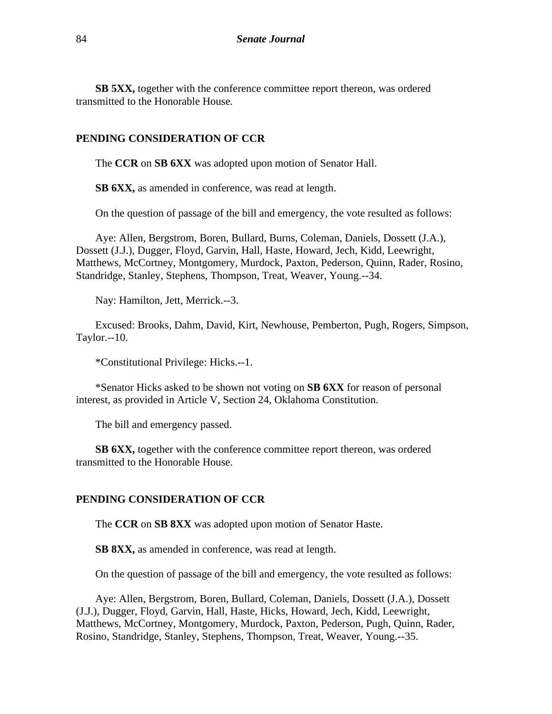**SB 5XX,** together with the conference committee report thereon, was ordered transmitted to the Honorable House.

## **PENDING CONSIDERATION OF CCR**

The **CCR** on **SB 6XX** was adopted upon motion of Senator Hall.

**SB 6XX,** as amended in conference, was read at length.

On the question of passage of the bill and emergency, the vote resulted as follows:

Aye: Allen, Bergstrom, Boren, Bullard, Burns, Coleman, Daniels, Dossett (J.A.), Dossett (J.J.), Dugger, Floyd, Garvin, Hall, Haste, Howard, Jech, Kidd, Leewright, Matthews, McCortney, Montgomery, Murdock, Paxton, Pederson, Quinn, Rader, Rosino, Standridge, Stanley, Stephens, Thompson, Treat, Weaver, Young.--34.

Nay: Hamilton, Jett, Merrick.--3.

Excused: Brooks, Dahm, David, Kirt, Newhouse, Pemberton, Pugh, Rogers, Simpson, Taylor.--10.

\*Constitutional Privilege: Hicks.--1.

\*Senator Hicks asked to be shown not voting on **SB 6XX** for reason of personal interest, as provided in Article V, Section 24, Oklahoma Constitution.

The bill and emergency passed.

**SB 6XX,** together with the conference committee report thereon, was ordered transmitted to the Honorable House.

### **PENDING CONSIDERATION OF CCR**

The **CCR** on **SB 8XX** was adopted upon motion of Senator Haste.

**SB 8XX,** as amended in conference, was read at length.

On the question of passage of the bill and emergency, the vote resulted as follows:

Aye: Allen, Bergstrom, Boren, Bullard, Coleman, Daniels, Dossett (J.A.), Dossett (J.J.), Dugger, Floyd, Garvin, Hall, Haste, Hicks, Howard, Jech, Kidd, Leewright, Matthews, McCortney, Montgomery, Murdock, Paxton, Pederson, Pugh, Quinn, Rader, Rosino, Standridge, Stanley, Stephens, Thompson, Treat, Weaver, Young.--35.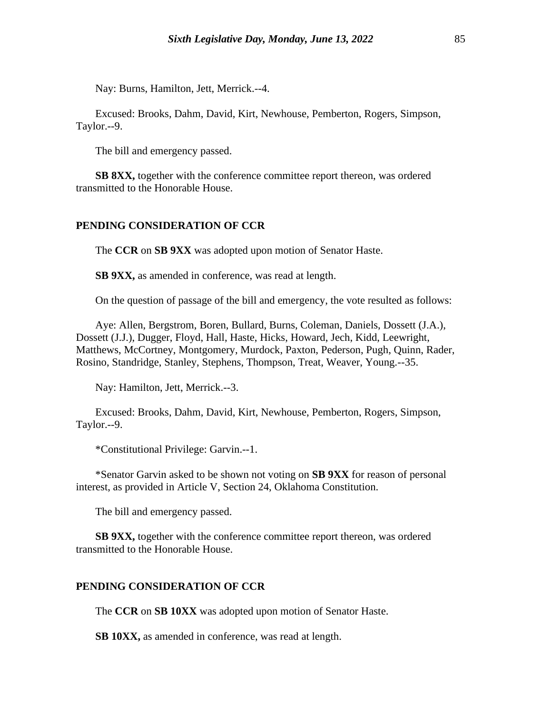Nay: Burns, Hamilton, Jett, Merrick.--4.

Excused: Brooks, Dahm, David, Kirt, Newhouse, Pemberton, Rogers, Simpson, Taylor.--9.

The bill and emergency passed.

**SB 8XX,** together with the conference committee report thereon, was ordered transmitted to the Honorable House.

#### **PENDING CONSIDERATION OF CCR**

The **CCR** on **SB 9XX** was adopted upon motion of Senator Haste.

**SB 9XX,** as amended in conference, was read at length.

On the question of passage of the bill and emergency, the vote resulted as follows:

Aye: Allen, Bergstrom, Boren, Bullard, Burns, Coleman, Daniels, Dossett (J.A.), Dossett (J.J.), Dugger, Floyd, Hall, Haste, Hicks, Howard, Jech, Kidd, Leewright, Matthews, McCortney, Montgomery, Murdock, Paxton, Pederson, Pugh, Quinn, Rader, Rosino, Standridge, Stanley, Stephens, Thompson, Treat, Weaver, Young.--35.

Nay: Hamilton, Jett, Merrick.--3.

Excused: Brooks, Dahm, David, Kirt, Newhouse, Pemberton, Rogers, Simpson, Taylor.--9.

\*Constitutional Privilege: Garvin.--1.

\*Senator Garvin asked to be shown not voting on **SB 9XX** for reason of personal interest, as provided in Article V, Section 24, Oklahoma Constitution.

The bill and emergency passed.

**SB 9XX,** together with the conference committee report thereon, was ordered transmitted to the Honorable House.

#### **PENDING CONSIDERATION OF CCR**

The **CCR** on **SB 10XX** was adopted upon motion of Senator Haste.

**SB 10XX,** as amended in conference, was read at length.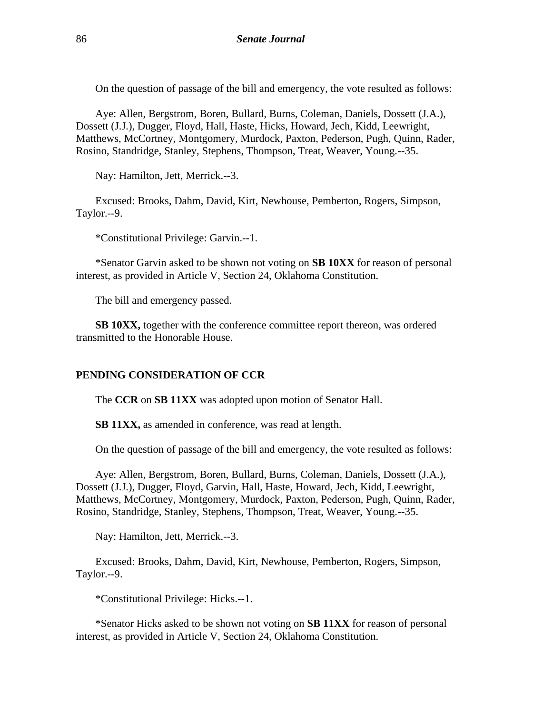On the question of passage of the bill and emergency, the vote resulted as follows:

Aye: Allen, Bergstrom, Boren, Bullard, Burns, Coleman, Daniels, Dossett (J.A.), Dossett (J.J.), Dugger, Floyd, Hall, Haste, Hicks, Howard, Jech, Kidd, Leewright, Matthews, McCortney, Montgomery, Murdock, Paxton, Pederson, Pugh, Quinn, Rader, Rosino, Standridge, Stanley, Stephens, Thompson, Treat, Weaver, Young.--35.

Nay: Hamilton, Jett, Merrick.--3.

Excused: Brooks, Dahm, David, Kirt, Newhouse, Pemberton, Rogers, Simpson, Taylor.--9.

\*Constitutional Privilege: Garvin.--1.

\*Senator Garvin asked to be shown not voting on **SB 10XX** for reason of personal interest, as provided in Article V, Section 24, Oklahoma Constitution.

The bill and emergency passed.

**SB 10XX,** together with the conference committee report thereon, was ordered transmitted to the Honorable House.

#### **PENDING CONSIDERATION OF CCR**

The **CCR** on **SB 11XX** was adopted upon motion of Senator Hall.

**SB 11XX,** as amended in conference, was read at length.

On the question of passage of the bill and emergency, the vote resulted as follows:

Aye: Allen, Bergstrom, Boren, Bullard, Burns, Coleman, Daniels, Dossett (J.A.), Dossett (J.J.), Dugger, Floyd, Garvin, Hall, Haste, Howard, Jech, Kidd, Leewright, Matthews, McCortney, Montgomery, Murdock, Paxton, Pederson, Pugh, Quinn, Rader, Rosino, Standridge, Stanley, Stephens, Thompson, Treat, Weaver, Young.--35.

Nay: Hamilton, Jett, Merrick.--3.

Excused: Brooks, Dahm, David, Kirt, Newhouse, Pemberton, Rogers, Simpson, Taylor.--9.

\*Constitutional Privilege: Hicks.--1.

\*Senator Hicks asked to be shown not voting on **SB 11XX** for reason of personal interest, as provided in Article V, Section 24, Oklahoma Constitution.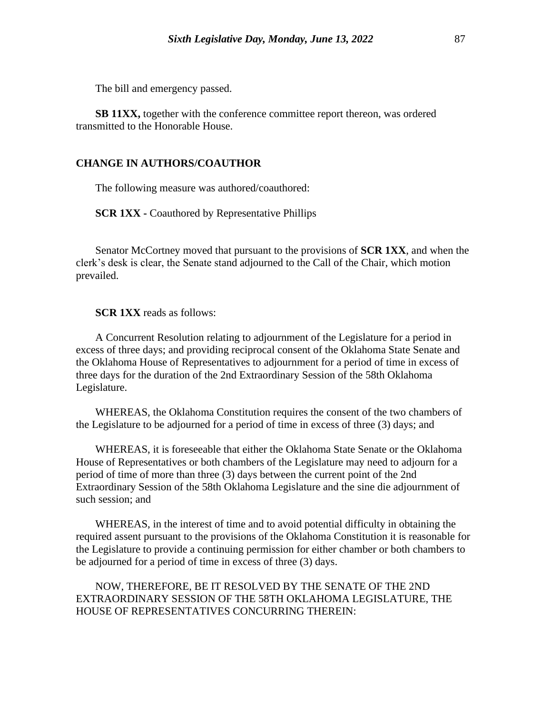The bill and emergency passed.

**SB 11XX,** together with the conference committee report thereon, was ordered transmitted to the Honorable House.

### **CHANGE IN AUTHORS/COAUTHOR**

The following measure was authored/coauthored:

**SCR 1XX -** Coauthored by Representative Phillips

Senator McCortney moved that pursuant to the provisions of **SCR 1XX**, and when the clerk's desk is clear, the Senate stand adjourned to the Call of the Chair, which motion prevailed.

**SCR 1XX** reads as follows:

A Concurrent Resolution relating to adjournment of the Legislature for a period in excess of three days; and providing reciprocal consent of the Oklahoma State Senate and the Oklahoma House of Representatives to adjournment for a period of time in excess of three days for the duration of the 2nd Extraordinary Session of the 58th Oklahoma Legislature.

WHEREAS, the Oklahoma Constitution requires the consent of the two chambers of the Legislature to be adjourned for a period of time in excess of three (3) days; and

WHEREAS, it is foreseeable that either the Oklahoma State Senate or the Oklahoma House of Representatives or both chambers of the Legislature may need to adjourn for a period of time of more than three (3) days between the current point of the 2nd Extraordinary Session of the 58th Oklahoma Legislature and the sine die adjournment of such session; and

WHEREAS, in the interest of time and to avoid potential difficulty in obtaining the required assent pursuant to the provisions of the Oklahoma Constitution it is reasonable for the Legislature to provide a continuing permission for either chamber or both chambers to be adjourned for a period of time in excess of three (3) days.

NOW, THEREFORE, BE IT RESOLVED BY THE SENATE OF THE 2ND EXTRAORDINARY SESSION OF THE 58TH OKLAHOMA LEGISLATURE, THE HOUSE OF REPRESENTATIVES CONCURRING THEREIN: